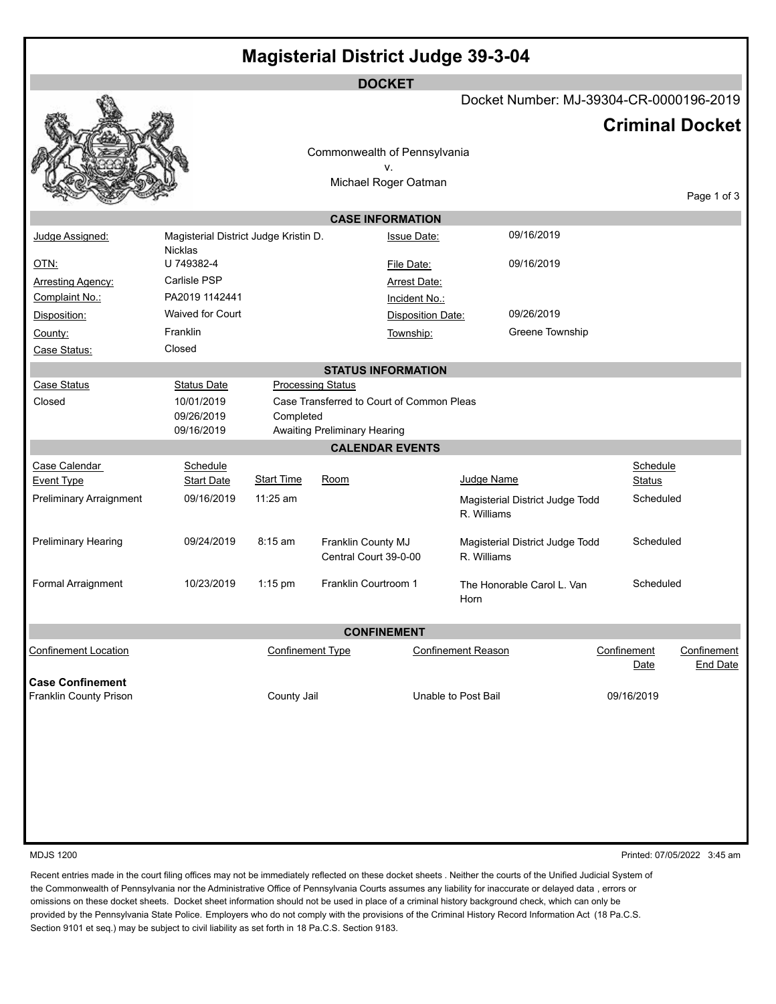| <b>Magisterial District Judge 39-3-04</b> |  |
|-------------------------------------------|--|
|-------------------------------------------|--|

|                                |                                       |                         |                                     | <b>DOCKET</b>                             |                           |                                         |             |               |                        |
|--------------------------------|---------------------------------------|-------------------------|-------------------------------------|-------------------------------------------|---------------------------|-----------------------------------------|-------------|---------------|------------------------|
|                                |                                       |                         |                                     |                                           |                           | Docket Number: MJ-39304-CR-0000196-2019 |             |               |                        |
|                                |                                       |                         |                                     |                                           |                           |                                         |             |               | <b>Criminal Docket</b> |
|                                |                                       |                         |                                     | Commonwealth of Pennsylvania              |                           |                                         |             |               |                        |
|                                |                                       |                         |                                     | v.                                        |                           |                                         |             |               |                        |
|                                |                                       |                         |                                     | Michael Roger Oatman                      |                           |                                         |             |               |                        |
|                                |                                       |                         |                                     |                                           |                           |                                         |             |               | Page 1 of 3            |
|                                |                                       |                         |                                     | <b>CASE INFORMATION</b>                   |                           |                                         |             |               |                        |
| Judge Assigned:                | Magisterial District Judge Kristin D. |                         |                                     | <b>Issue Date:</b>                        |                           | 09/16/2019                              |             |               |                        |
| <u>OTN:</u>                    | <b>Nicklas</b><br>U 749382-4          |                         |                                     |                                           |                           | 09/16/2019                              |             |               |                        |
|                                | Carlisle PSP                          |                         |                                     | File Date:                                |                           |                                         |             |               |                        |
| <b>Arresting Agency:</b>       | PA2019 1142441                        |                         |                                     | <b>Arrest Date:</b>                       |                           |                                         |             |               |                        |
| Complaint No.:                 | Waived for Court                      |                         |                                     | Incident No.:                             |                           | 09/26/2019                              |             |               |                        |
| Disposition:                   |                                       |                         |                                     | Disposition Date:                         |                           |                                         |             |               |                        |
| County:                        | Franklin                              |                         |                                     | Township:                                 |                           | Greene Township                         |             |               |                        |
| Case Status:                   | Closed                                |                         |                                     |                                           |                           |                                         |             |               |                        |
|                                |                                       |                         |                                     | <b>STATUS INFORMATION</b>                 |                           |                                         |             |               |                        |
| Case Status                    | <b>Status Date</b>                    |                         | <b>Processing Status</b>            |                                           |                           |                                         |             |               |                        |
| Closed                         | 10/01/2019                            |                         |                                     | Case Transferred to Court of Common Pleas |                           |                                         |             |               |                        |
|                                | 09/26/2019<br>09/16/2019              | Completed               | <b>Awaiting Preliminary Hearing</b> |                                           |                           |                                         |             |               |                        |
|                                |                                       |                         |                                     | <b>CALENDAR EVENTS</b>                    |                           |                                         |             |               |                        |
| Case Calendar                  | Schedule                              |                         |                                     |                                           |                           |                                         |             | Schedule      |                        |
| <b>Event Type</b>              | <b>Start Date</b>                     | <b>Start Time</b>       | Room                                |                                           | Judge Name                |                                         |             | <b>Status</b> |                        |
| <b>Preliminary Arraignment</b> | 09/16/2019                            | $11:25$ am              |                                     |                                           |                           | Magisterial District Judge Todd         |             | Scheduled     |                        |
|                                |                                       |                         |                                     |                                           | R. Williams               |                                         |             |               |                        |
| <b>Preliminary Hearing</b>     | 09/24/2019                            | 8:15 am                 | Franklin County MJ                  |                                           |                           | Magisterial District Judge Todd         |             | Scheduled     |                        |
|                                |                                       |                         | Central Court 39-0-00               |                                           | R. Williams               |                                         |             |               |                        |
| Formal Arraignment             | 10/23/2019                            | $1:15$ pm               | Franklin Courtroom 1                |                                           |                           | The Honorable Carol L. Van              |             | Scheduled     |                        |
|                                |                                       |                         |                                     |                                           | Horn                      |                                         |             |               |                        |
|                                |                                       |                         |                                     |                                           |                           |                                         |             |               |                        |
| <b>CONFINEMENT</b>             |                                       |                         |                                     |                                           |                           |                                         |             |               |                        |
| <b>Confinement Location</b>    |                                       | <b>Confinement Type</b> |                                     |                                           | <b>Confinement Reason</b> |                                         | Confinement |               | Confinement            |
|                                |                                       |                         |                                     |                                           |                           |                                         |             | Date          | <b>End Date</b>        |
| <b>Case Confinement</b>        |                                       |                         |                                     |                                           |                           |                                         |             |               |                        |
| Franklin County Prison         |                                       | County Jail             |                                     |                                           | Unable to Post Bail       |                                         |             | 09/16/2019    |                        |
|                                |                                       |                         |                                     |                                           |                           |                                         |             |               |                        |
|                                |                                       |                         |                                     |                                           |                           |                                         |             |               |                        |
|                                |                                       |                         |                                     |                                           |                           |                                         |             |               |                        |
|                                |                                       |                         |                                     |                                           |                           |                                         |             |               |                        |
|                                |                                       |                         |                                     |                                           |                           |                                         |             |               |                        |

MDJS 1200 Printed: 07/05/2022 3:45 am

Recent entries made in the court filing offices may not be immediately reflected on these docket sheets . Neither the courts of the Unified Judicial System of the Commonwealth of Pennsylvania nor the Administrative Office of Pennsylvania Courts assumes any liability for inaccurate or delayed data , errors or omissions on these docket sheets. Docket sheet information should not be used in place of a criminal history background check, which can only be provided by the Pennsylvania State Police. Employers who do not comply with the provisions of the Criminal History Record Information Act (18 Pa.C.S. Section 9101 et seq.) may be subject to civil liability as set forth in 18 Pa.C.S. Section 9183.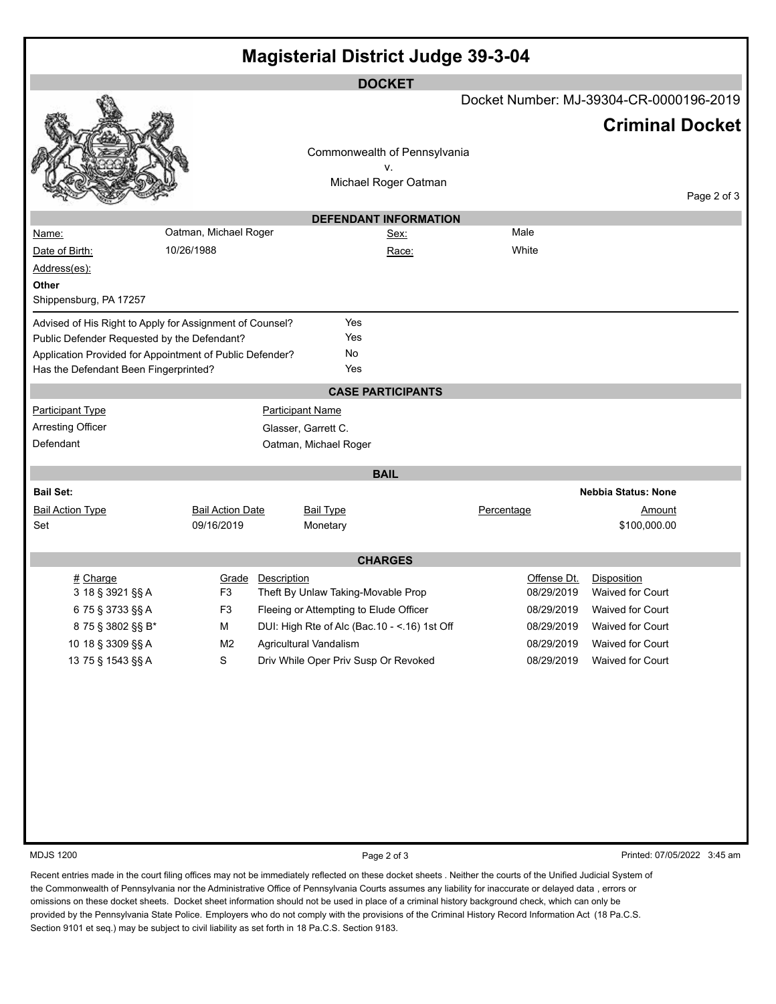| <b>Magisterial District Judge 39-3-04</b>                                                         |                         |                                               |             |                                         |  |  |
|---------------------------------------------------------------------------------------------------|-------------------------|-----------------------------------------------|-------------|-----------------------------------------|--|--|
| <b>DOCKET</b>                                                                                     |                         |                                               |             |                                         |  |  |
|                                                                                                   |                         |                                               |             | Docket Number: MJ-39304-CR-0000196-2019 |  |  |
|                                                                                                   |                         |                                               |             | <b>Criminal Docket</b>                  |  |  |
|                                                                                                   |                         | Commonwealth of Pennsylvania                  |             |                                         |  |  |
|                                                                                                   |                         | ٧.<br>Michael Roger Oatman                    |             |                                         |  |  |
|                                                                                                   |                         |                                               |             | Page 2 of 3                             |  |  |
|                                                                                                   |                         | <b>DEFENDANT INFORMATION</b>                  |             |                                         |  |  |
| Name:                                                                                             | Oatman, Michael Roger   | Sex:                                          | Male        |                                         |  |  |
| 10/26/1988<br>Date of Birth:                                                                      |                         | Race:                                         | White       |                                         |  |  |
| Address(es):                                                                                      |                         |                                               |             |                                         |  |  |
| Other                                                                                             |                         |                                               |             |                                         |  |  |
| Shippensburg, PA 17257                                                                            |                         |                                               |             |                                         |  |  |
| Advised of His Right to Apply for Assignment of Counsel?                                          |                         | Yes                                           |             |                                         |  |  |
| Public Defender Requested by the Defendant?                                                       |                         | Yes                                           |             |                                         |  |  |
| Application Provided for Appointment of Public Defender?<br>Has the Defendant Been Fingerprinted? |                         | No<br>Yes                                     |             |                                         |  |  |
|                                                                                                   |                         |                                               |             |                                         |  |  |
|                                                                                                   |                         | <b>CASE PARTICIPANTS</b>                      |             |                                         |  |  |
| <b>Participant Type</b>                                                                           |                         | <b>Participant Name</b>                       |             |                                         |  |  |
| Arresting Officer<br>Defendant                                                                    |                         | Glasser, Garrett C.                           |             |                                         |  |  |
|                                                                                                   |                         | Oatman, Michael Roger                         |             |                                         |  |  |
|                                                                                                   |                         | <b>BAIL</b>                                   |             |                                         |  |  |
| <b>Bail Set:</b>                                                                                  |                         |                                               |             | <b>Nebbia Status: None</b>              |  |  |
| <b>Bail Action Type</b>                                                                           | <b>Bail Action Date</b> | <b>Bail Type</b>                              | Percentage  | Amount                                  |  |  |
| Set                                                                                               | 09/16/2019              | Monetary                                      |             | \$100,000.00                            |  |  |
|                                                                                                   |                         | <b>CHARGES</b>                                |             |                                         |  |  |
| $#$ Charge                                                                                        | Description<br>Grade    |                                               | Offense Dt. | Disposition                             |  |  |
| 3 18 § 3921 §§ A                                                                                  | F3                      | Theft By Unlaw Taking-Movable Prop            | 08/29/2019  | Waived for Court                        |  |  |
| 675 § 3733 §§ A                                                                                   | F <sub>3</sub>          | Fleeing or Attempting to Elude Officer        | 08/29/2019  | Waived for Court                        |  |  |
| 875 § 3802 §§ B*                                                                                  | М                       | DUI: High Rte of Alc (Bac.10 - <. 16) 1st Off | 08/29/2019  | Waived for Court                        |  |  |
| 10 18 § 3309 §§ A                                                                                 | M <sub>2</sub>          | Agricultural Vandalism                        | 08/29/2019  | Waived for Court                        |  |  |
| 13 75 § 1543 §§ A                                                                                 | ${\mathbb S}$           | Driv While Oper Priv Susp Or Revoked          | 08/29/2019  | Waived for Court                        |  |  |
|                                                                                                   |                         |                                               |             |                                         |  |  |
|                                                                                                   |                         |                                               |             |                                         |  |  |
|                                                                                                   |                         |                                               |             |                                         |  |  |
|                                                                                                   |                         |                                               |             |                                         |  |  |
|                                                                                                   |                         |                                               |             |                                         |  |  |
|                                                                                                   |                         |                                               |             |                                         |  |  |
|                                                                                                   |                         |                                               |             |                                         |  |  |
|                                                                                                   |                         |                                               |             |                                         |  |  |
|                                                                                                   |                         |                                               |             |                                         |  |  |
| <b>MDJS 1200</b>                                                                                  |                         | Page 2 of 3                                   |             | Printed: 07/05/2022 3:45 am             |  |  |

Recent entries made in the court filing offices may not be immediately reflected on these docket sheets . Neither the courts of the Unified Judicial System of the Commonwealth of Pennsylvania nor the Administrative Office of Pennsylvania Courts assumes any liability for inaccurate or delayed data , errors or omissions on these docket sheets. Docket sheet information should not be used in place of a criminal history background check, which can only be provided by the Pennsylvania State Police. Employers who do not comply with the provisions of the Criminal History Record Information Act (18 Pa.C.S. Section 9101 et seq.) may be subject to civil liability as set forth in 18 Pa.C.S. Section 9183.